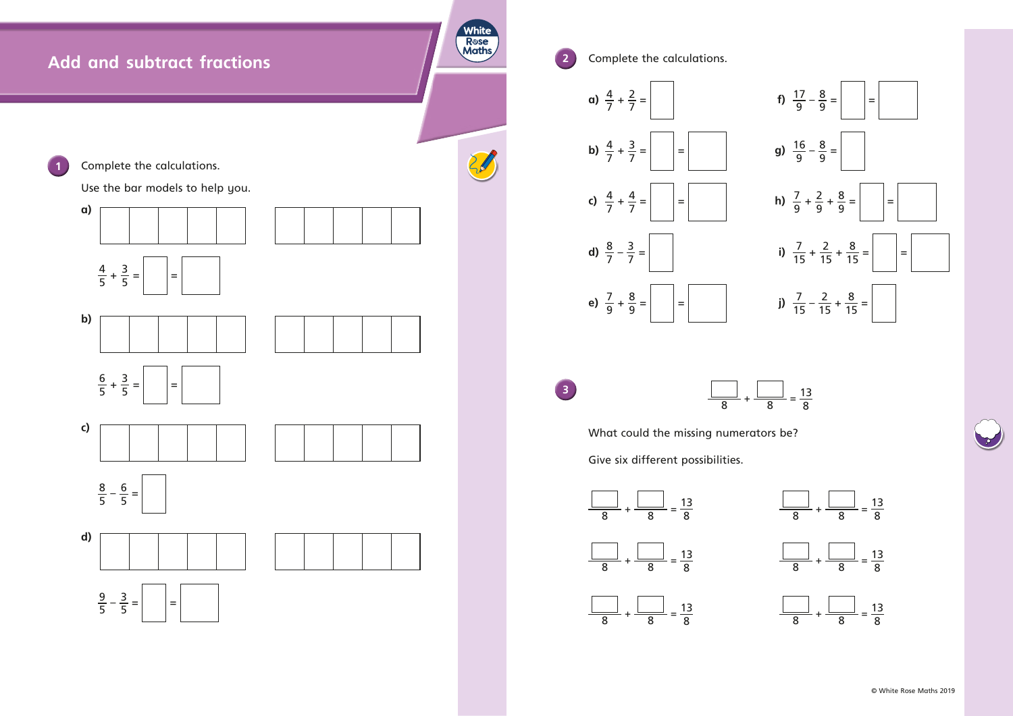

**2** Complete the calculations. a)  $\frac{4}{7} + \frac{2}{7}$  $\frac{2}{7}$  =  $\begin{vmatrix} 17 & -8 \\ 9 & -9 \end{vmatrix}$  =  $\begin{vmatrix} 12 & -8 \\ 9 & -1 \end{vmatrix}$  = **b)**  $\frac{4}{7} + \frac{3}{7}$  $\frac{3}{7} =$   $=$   $=$   $=$   $\frac{3}{7} =$   $=$   $\frac{3}{9} = \frac{3}{9} =$ c)  $\frac{4}{7} + \frac{4}{7}$ d)  $\frac{8}{7} - \frac{3}{7}$ e)  $\frac{7}{9} + \frac{8}{9}$  $\frac{8}{9}$  =  $\Big|$  =  $\Big|$  =  $\Big|$  15 -  $\frac{7}{15} - \frac{2}{15} + \frac{8}{15} =$ **3** What could the missing numerators be? Give six different possibilities.  $\frac{1}{\phantom{1}} = \frac{13}{8}$